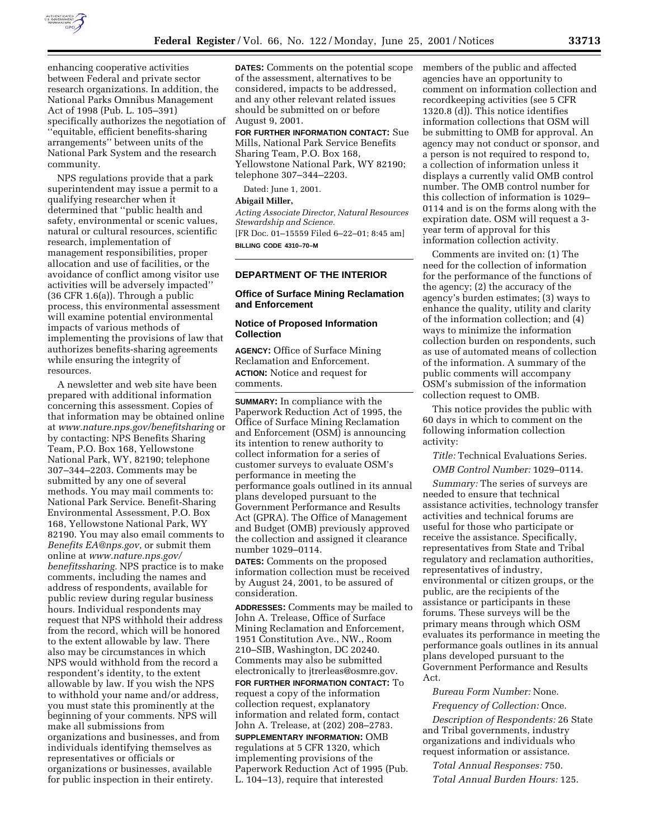

enhancing cooperative activities between Federal and private sector research organizations. In addition, the National Parks Omnibus Management Act of 1998 (Pub. L. 105–391) specifically authorizes the negotiation of ''equitable, efficient benefits-sharing arrangements'' between units of the National Park System and the research community.

NPS regulations provide that a park superintendent may issue a permit to a qualifying researcher when it determined that ''public health and safety, environmental or scenic values, natural or cultural resources, scientific research, implementation of management responsibilities, proper allocation and use of facilities, or the avoidance of conflict among visitor use activities will be adversely impacted'' (36 CFR 1.6(a)). Through a public process, this environmental assessment will examine potential environmental impacts of various methods of implementing the provisions of law that authorizes benefits-sharing agreements while ensuring the integrity of resources.

A newsletter and web site have been prepared with additional information concerning this assessment. Copies of that information may be obtained online at *www.nature.nps.gov/benefitsharing* or by contacting: NPS Benefits Sharing Team, P.O. Box 168, Yellowstone National Park, WY, 82190; telephone 307–344–2203. Comments may be submitted by any one of several methods. You may mail comments to: National Park Service. Benefit-Sharing Environmental Assessment, P.O. Box 168, Yellowstone National Park, WY 82190. You may also email comments to *Benefits EA@nps.gov,* or submit them online at *www.nature.nps.gov/ benefitssharing.* NPS practice is to make comments, including the names and address of respondents, available for public review during regular business hours. Individual respondents may request that NPS withhold their address from the record, which will be honored to the extent allowable by law. There also may be circumstances in which NPS would withhold from the record a respondent's identity, to the extent allowable by law. If you wish the NPS to withhold your name and/or address, you must state this prominently at the beginning of your comments. NPS will make all submissions from organizations and businesses, and from individuals identifying themselves as representatives or officials or organizations or businesses, available for public inspection in their entirety.

**DATES:** Comments on the potential scope of the assessment, alternatives to be considered, impacts to be addressed, and any other relevant related issues should be submitted on or before August 9, 2001.

**FOR FURTHER INFORMATION CONTACT:** Sue Mills, National Park Service Benefits Sharing Team, P.O. Box 168, Yellowstone National Park, WY 82190; telephone 307–344–2203.

Dated: June 1, 2001.

#### **Abigail Miller,**

*Acting Associate Director, Natural Resources Stewardship and Science.* [FR Doc. 01–15559 Filed 6–22–01; 8:45 am] **BILLING CODE 4310–70–M**

## **DEPARTMENT OF THE INTERIOR**

## **Office of Surface Mining Reclamation and Enforcement**

## **Notice of Proposed Information Collection**

**AGENCY:** Office of Surface Mining Reclamation and Enforcement. **ACTION:** Notice and request for comments.

**SUMMARY:** In compliance with the Paperwork Reduction Act of 1995, the Office of Surface Mining Reclamation and Enforcement (OSM) is announcing its intention to renew authority to collect information for a series of customer surveys to evaluate OSM's performance in meeting the performance goals outlined in its annual plans developed pursuant to the Government Performance and Results Act (GPRA). The Office of Management and Budget (OMB) previously approved the collection and assigned it clearance number 1029–0114.

**DATES:** Comments on the proposed information collection must be received by August 24, 2001, to be assured of consideration.

**ADDRESSES:** Comments may be mailed to John A. Trelease, Office of Surface Mining Reclamation and Enforcement, 1951 Constitution Ave., NW., Room 210–SIB, Washington, DC 20240. Comments may also be submitted electronically to jtrerleas@osmre.gov. **FOR FURTHER INFORMATION CONTACT:** To request a copy of the information collection request, explanatory information and related form, contact John A. Trelease, at (202) 208–2783. **SUPPLEMENTARY INFORMATION:** OMB regulations at 5 CFR 1320, which implementing provisions of the Paperwork Reduction Act of 1995 (Pub. L. 104–13), require that interested

members of the public and affected agencies have an opportunity to comment on information collection and recordkeeping activities (see 5 CFR 1320.8 (d)). This notice identifies information collections that OSM will be submitting to OMB for approval. An agency may not conduct or sponsor, and a person is not required to respond to, a collection of information unless it displays a currently valid OMB control number. The OMB control number for this collection of information is 1029– 0114 and is on the forms along with the expiration date. OSM will request a 3 year term of approval for this information collection activity.

Comments are invited on: (1) The need for the collection of information for the performance of the functions of the agency; (2) the accuracy of the agency's burden estimates; (3) ways to enhance the quality, utility and clarity of the information collection; and (4) ways to minimize the information collection burden on respondents, such as use of automated means of collection of the information. A summary of the public comments will accompany OSM's submission of the information collection request to OMB.

This notice provides the public with 60 days in which to comment on the following information collection activity:

*Title:* Technical Evaluations Series.

*OMB Control Number:* 1029–0114.

*Summary:* The series of surveys are needed to ensure that technical assistance activities, technology transfer activities and technical forums are useful for those who participate or receive the assistance. Specifically, representatives from State and Tribal regulatory and reclamation authorities, representatives of industry, environmental or citizen groups, or the public, are the recipients of the assistance or participants in these forums. These surveys will be the primary means through which OSM evaluates its performance in meeting the performance goals outlines in its annual plans developed pursuant to the Government Performance and Results Act.

*Bureau Form Number:* None.

*Frequency of Collection:* Once.

*Description of Respondents:* 26 State and Tribal governments, industry organizations and individuals who request information or assistance.

*Total Annual Responses:* 750. *Total Annual Burden Hours:* 125.